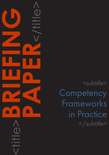<subtitle> **Competency** Frameworks in Practice </subtitle>

<title>**BRIEFING**

**PAPER**<br>CONSTRAINS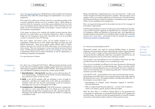### CAPDM Ltd. CAPDM Ltd.

Introduction In our ["Key Learning Objectives"](https://issuu.com/203158/docs/issuu_key_learning_objectives_brief) Briefing Paper we discussed the use of Learning Objectives (LOs) within the overall design and implementation of a course or programme.

> In this paper we discuss how working with another business learning client, allowed us to make further use of Learning Objectives to effect a seamless bridge into the Competency Frameworks associated with a set of accredited courses in a particular sector of IT learning.

> The incentive for making use of these came from a procedural reading of the curriculum guidelines used by one of our academic clients. While making no particular claim for innovation, we do take some satisfaction from how much use our partnership with this client has been able to make of the fairly strict, but simple, use of LOs at the heart of their course designs. It pays to read your own documentation and guidelines!

> Not every subject, and hence course, can be readily mapped on to a Competency Framework, but in many subject areas there are some very well defined frameworks. There area a good number defined within IT (Open Systems, Microsoft, etc.) and the UK NHS makes heavy use of frameworks at various levels. Their use is being seen in many more formal, and even informal areas. Funded research programmes, such as [e-CF](http://www.ecompetences.eu/) and [FlipIT!](http://flip-it.hu/) are also active in developing infrastructure to support individuals, as well as organisations, in the lifelong competence development.

- 1. Specialisations the top level: Typically a course will have about 10 to 12 Specialisations. Examples from the MCSE would be Administering Microsoft Server 2003 or User Accounts.
- 2. Skills: In the MCSE example, skills are indicated in terms of length of experience, and there are roughly three to five skills per specialisation. Examples within the User Accounts specialisation would be Creating & Managing User Accounts or Managing User Profiles.
- 3. Competencies the lowest level: In the MCSE example, competencies are rated on a four point Likert Scale, from Weak up to Very Good. Typically there are about five competencies per skill. Examples within the Managing User Profiles skill include Roaming User Profiles or Configuring a Mandatory Profile.

It is a growing area of interest.

Our client was a Microsoft Gold Partner, offering business learning courses for the Microsoft Certified Engineer, Desktop Support Technician and Systems Administrator programmes (MCSE, MCDST, MCSA). These programmes have very well defined Competency Frameworks, at three levels of detail:

Using LOs in Competency Frameworks

Filling in the detail for a single framework is not a two minute job – it takes a bit of time, thought and honest self-appraisal to complete. We must repeat, not all subjects can be so accurately mapped, but in this particular IT domain the three level framework allows a student to undertake a comprehensive pre-assessment of their current capabilities and competencies.

This is an important starting point for the student, but also for the 'manager' of that student, if appropriate.

A Skills Assessment Report can show how this input can be collated and recorded. It can provide a basis for applying an algorithm that can 'calculate' measures of Competence, Ability and Expertise in a particular area. Such algorithms are possibly subjective and specific to an individual subject, but they are in relatively common use in some areas – particularly IT (see, for example, the Learning  $\&$ [Performance Institute's Capability Map\)](https://www.thelpi.org/).

#### So, where do Learning Objectives fit in?

Sharp-eyed readers who read our previous Briefing Papers on learning objectives and assessments will have noticed that the number of Specialisations is about the same in number as those advocated for Learning Objectives. It is no surprise that this is deliberate, rather than coincidental, and that the two are different perspectives and use of the same underlying concepts.

One provides a top level definition for the Competency Framework; the other provides the focus for the designs of an accompanying course.

This on its own is probably not sufficient to truly map a framework to the learning materials for a course, but it is a useful starting point. There is one obvious flaw, namely that a Learning Objective may not conveniently map onto a chapter (or similar structure element) of an accompanying publication. However the hooks are there to provide a bridge.

In the MCSE world – and probably true for many business learning courses – Specialisations and Skills tend to map to specific sections of the study materials developed for the course. The design probably and deliberately reflects this. In this example we were able to map:

- •Specialisations to Chapters (which themselves mapped to individual Learning Objectives);
- •Skills to chapter-based learning objectives a lower level of objective which in turn relate to specific sections within the chapter.

What this does allow is a Profile & Training Report to be generated that concentrates on weaknesses, as calculated from the inputs to the competencies and skills ratings. This report can then be mapped directly on to specific chapters and sections, drawing the student's attention to these particular areas.

# Competency Frameworks